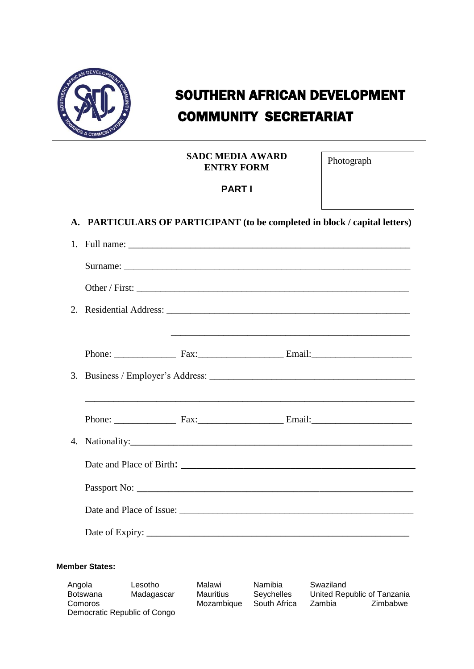

# COMMUNITY SECRETARIAT SOUTHERN AFRICAN DEVELOPMENT

| SADC MEDIA AWARD  |
|-------------------|
| <b>ENTRY FORM</b> |

Photograph

## **PART I**

**A. PARTICULARS OF PARTICIPANT (to be completed in block / capital letters)**

|  | <u> 1989 - Andrea Santa Andrea Andrea Andrea Andrea Andrea Andrea Andrea Andrea Andrea Andrea Andrea Andrea Andr</u> |
|--|----------------------------------------------------------------------------------------------------------------------|
|  |                                                                                                                      |
|  |                                                                                                                      |
|  |                                                                                                                      |
|  | Phone: Fax: Fax: Email: Email:                                                                                       |
|  |                                                                                                                      |
|  |                                                                                                                      |
|  |                                                                                                                      |
|  |                                                                                                                      |
|  |                                                                                                                      |

### **Member States:**

| Angola<br>Botswana | Lesotho<br>Madagascar        | Malawi<br>Mauritius | Namibia<br>Sevchelles | Swaziland | United Republic of Tanzania |
|--------------------|------------------------------|---------------------|-----------------------|-----------|-----------------------------|
| Comoros            |                              | Mozambique          | South Africa          | Zambia    | Zimbabwe                    |
|                    | Democratic Republic of Congo |                     |                       |           |                             |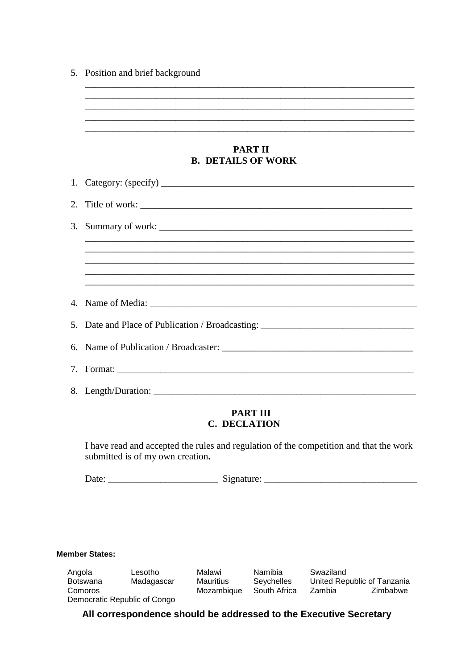| 5. Position and brief background |  |  |
|----------------------------------|--|--|
|                                  |  |  |
|                                  |  |  |

#### **PART II B. DETAILS OF WORK**

\_\_\_\_\_\_\_\_\_\_\_\_\_\_\_\_\_\_\_\_\_\_\_\_\_\_\_\_\_\_\_\_\_\_\_\_\_\_\_\_\_\_\_\_\_\_\_\_\_\_\_\_\_\_\_\_\_\_\_\_\_\_\_\_\_\_\_\_\_

\_\_\_\_\_\_\_\_\_\_\_\_\_\_\_\_\_\_\_\_\_\_\_\_\_\_\_\_\_\_\_\_\_\_\_\_\_\_\_\_\_\_\_\_\_\_\_\_\_\_\_\_\_\_\_\_\_\_\_\_\_\_\_\_\_\_\_\_\_

\_\_\_\_\_\_\_\_\_\_\_\_\_\_\_\_\_\_\_\_\_\_\_\_\_\_\_\_\_\_\_\_\_\_\_\_\_\_\_\_\_\_\_\_\_\_\_\_\_\_\_\_\_\_\_\_\_\_\_\_\_\_\_\_\_\_\_\_\_

| 2. Title of work: $\frac{1}{\sqrt{1-\frac{1}{2}}\sqrt{1-\frac{1}{2}}\sqrt{1-\frac{1}{2}}\sqrt{1-\frac{1}{2}}}}$ |
|-----------------------------------------------------------------------------------------------------------------|
|                                                                                                                 |
|                                                                                                                 |
|                                                                                                                 |
|                                                                                                                 |
|                                                                                                                 |
| 5. Date and Place of Publication / Broadcasting: _______________________________                                |
|                                                                                                                 |
|                                                                                                                 |
|                                                                                                                 |

### **PART III C. DECLATION**

I have read and accepted the rules and regulation of the competition and that the work submitted is of my own creation**.**

Date: \_\_\_\_\_\_\_\_\_\_\_\_\_\_\_\_\_\_\_\_\_\_\_ Signature: \_\_\_\_\_\_\_\_\_\_\_\_\_\_\_\_\_\_\_\_\_\_\_\_\_\_\_\_\_\_\_\_

#### **Member States:**

| Angola<br>Botswana | Lesotho<br>Madagascar        | Malawi<br>Mauritius | Namibia<br><b>Sevchelles</b> | Swaziland | United Republic of Tanzania |
|--------------------|------------------------------|---------------------|------------------------------|-----------|-----------------------------|
| Comoros            |                              | Mozambique          | South Africa                 | Zambia    | Zimbabwe                    |
|                    | Democratic Republic of Congo |                     |                              |           |                             |

**All correspondence should be addressed to the Executive Secretary**